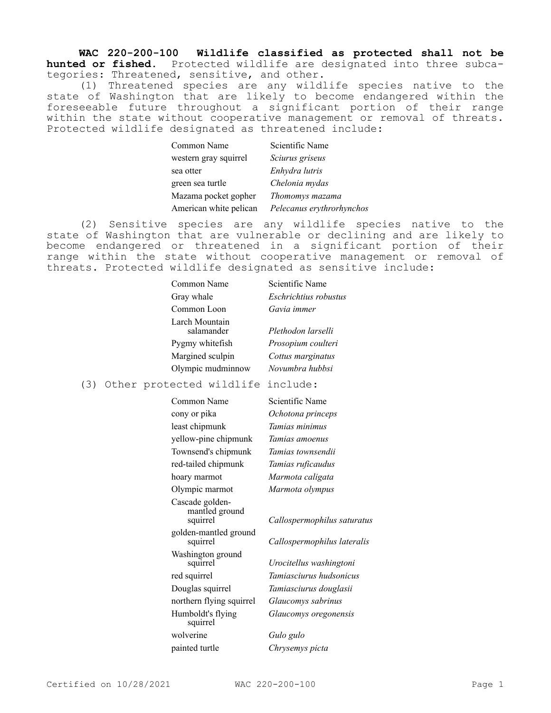**WAC 220-200-100 Wildlife classified as protected shall not be hunted or fished.** Protected wildlife are designated into three subcategories: Threatened, sensitive, and other.

(1) Threatened species are any wildlife species native to the state of Washington that are likely to become endangered within the foreseeable future throughout a significant portion of their range within the state without cooperative management or removal of threats. Protected wildlife designated as threatened include:

| Common Name            | Scientific Name           |
|------------------------|---------------------------|
| western gray squirrel  | Sciurus griseus           |
| sea otter              | Enhydra lutris            |
| green sea turtle       | Chelonia mydas            |
| Mazama pocket gopher   | Thomomys mazama           |
| American white pelican | Pelecanus erythrorhynchos |

(2) Sensitive species are any wildlife species native to the state of Washington that are vulnerable or declining and are likely to become endangered or threatened in a significant portion of their range within the state without cooperative management or removal of threats. Protected wildlife designated as sensitive include:

| Common Name                  | Scientific Name       |
|------------------------------|-----------------------|
| Gray whale                   | Eschrichtius robustus |
| Common Loon                  | Gavia immer           |
| Larch Mountain<br>salamander | Plethodon larselli    |
| Pygmy whitefish              | Prosopium coulteri    |
| Margined sculpin             | Cottus marginatus     |
| Olympic mudminnow            | Novumbra hubbsi       |
|                              |                       |

(3) Other protected wildlife include:

| Common Name                                   | Scientific Name             |
|-----------------------------------------------|-----------------------------|
| cony or pika                                  | Ochotona princeps           |
| least chipmunk                                | Tamias minimus              |
| yellow-pine chipmunk                          | Tamias amoenus              |
| Townsend's chipmunk                           | Tamias townsendii           |
| red-tailed chipmunk                           | Tamias ruficaudus           |
| hoary marmot                                  | Marmota caligata            |
| Olympic marmot                                | Marmota olympus             |
| Cascade golden-<br>mantled ground<br>squirrel | Callospermophilus saturatus |
| golden-mantled ground<br>squirrel             | Callospermophilus lateralis |
| Washington ground<br>squirrel                 | Urocitellus washingtoni     |
| red squirrel                                  | Tamiasciurus hudsonicus     |
| Douglas squirrel                              | Tamiasciurus douglasii      |
| northern flying squirrel                      | Glaucomys sabrinus          |
| Humboldt's flying<br>squirrel                 | Glaucomys oregonensis       |
| wolverine                                     | Gulo gulo                   |
| painted turtle                                | Chrysemys picta             |
|                                               |                             |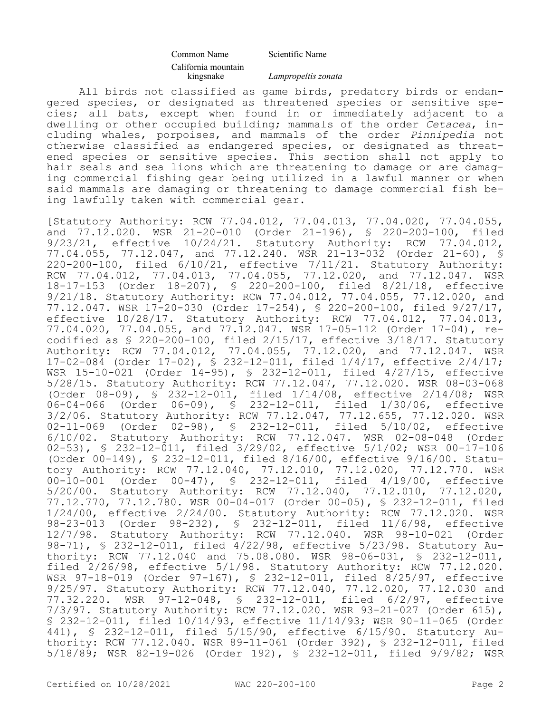## Common Name Scientific Name California mountain

kingsnake *Lampropeltis zonata*

All birds not classified as game birds, predatory birds or endangered species, or designated as threatened species or sensitive species; all bats, except when found in or immediately adjacent to a dwelling or other occupied building; mammals of the order *Cetacea*, including whales, porpoises, and mammals of the order *Pinnipedia* not otherwise classified as endangered species, or designated as threatened species or sensitive species. This section shall not apply to hair seals and sea lions which are threatening to damage or are damaging commercial fishing gear being utilized in a lawful manner or when said mammals are damaging or threatening to damage commercial fish being lawfully taken with commercial gear.

[Statutory Authority: RCW 77.04.012, 77.04.013, 77.04.020, 77.04.055, and 77.12.020. WSR 21-20-010 (Order 21-196), § 220-200-100, filed 9/23/21, effective 10/24/21. Statutory Authority: RCW 77.04.012, 77.04.055, 77.12.047, and 77.12.240. WSR 21-13-032 (Order 21-60), § 220-200-100, filed 6/10/21, effective 7/11/21. Statutory Authority: RCW 77.04.012, 77.04.013, 77.04.055, 77.12.020, and 77.12.047. WSR 18-17-153 (Order 18-207), § 220-200-100, filed 8/21/18, effective 9/21/18. Statutory Authority: RCW 77.04.012, 77.04.055, 77.12.020, and 77.12.047. WSR 17-20-030 (Order 17-254), § 220-200-100, filed 9/27/17, effective 10/28/17. Statutory Authority: RCW 77.04.012, 77.04.013, 77.04.020, 77.04.055, and 77.12.047. WSR 17-05-112 (Order 17-04), recodified as § 220-200-100, filed 2/15/17, effective 3/18/17. Statutory Authority: RCW 77.04.012, 77.04.055, 77.12.020, and 77.12.047. WSR 17-02-084 (Order 17-02), § 232-12-011, filed 1/4/17, effective 2/4/17; WSR 15-10-021 (Order 14-95), § 232-12-011, filed 4/27/15, effective 5/28/15. Statutory Authority: RCW 77.12.047, 77.12.020. WSR 08-03-068 (Order 08-09), § 232-12-011, filed 1/14/08, effective 2/14/08; WSR 06-04-066 (Order 06-09), § 232-12-011, filed 1/30/06, effective 3/2/06. Statutory Authority: RCW 77.12.047, 77.12.655, 77.12.020. WSR 02-11-069 (Order 02-98), § 232-12-011, filed 5/10/02, effective 6/10/02. Statutory Authority: RCW 77.12.047. WSR 02-08-048 (Order 02-53), § 232-12-011, filed 3/29/02, effective 5/1/02; WSR 00-17-106 (Order 00-149), § 232-12-011, filed 8/16/00, effective 9/16/00. Statutory Authority: RCW 77.12.040, 77.12.010, 77.12.020, 77.12.770. WSR 00-10-001 (Order 00-47), § 232-12-011, filed 4/19/00, effective 5/20/00. Statutory Authority: RCW 77.12.040, 77.12.010, 77.12.020, 77.12.770, 77.12.780. WSR 00-04-017 (Order 00-05), § 232-12-011, filed 1/24/00, effective 2/24/00. Statutory Authority: RCW 77.12.020. WSR 98-23-013 (Order 98-232), § 232-12-011, filed 11/6/98, effective 12/7/98. Statutory Authority: RCW 77.12.040. WSR 98-10-021 (Order 98-71), § 232-12-011, filed 4/22/98, effective 5/23/98. Statutory Authority: RCW 77.12.040 and 75.08.080. WSR 98-06-031, § 232-12-011, filed 2/26/98, effective 5/1/98. Statutory Authority: RCW 77.12.020. WSR 97-18-019 (Order 97-167), § 232-12-011, filed 8/25/97, effective 9/25/97. Statutory Authority: RCW 77.12.040, 77.12.020, 77.12.030 and 77.32.220. WSR 97-12-048, § 232-12-011, filed 6/2/97, effective 7/3/97. Statutory Authority: RCW 77.12.020. WSR 93-21-027 (Order 615), § 232-12-011, filed 10/14/93, effective 11/14/93; WSR 90-11-065 (Order 441), § 232-12-011, filed 5/15/90, effective 6/15/90. Statutory Authority: RCW 77.12.040. WSR 89-11-061 (Order 392), § 232-12-011, filed 5/18/89; WSR 82-19-026 (Order 192), § 232-12-011, filed 9/9/82; WSR